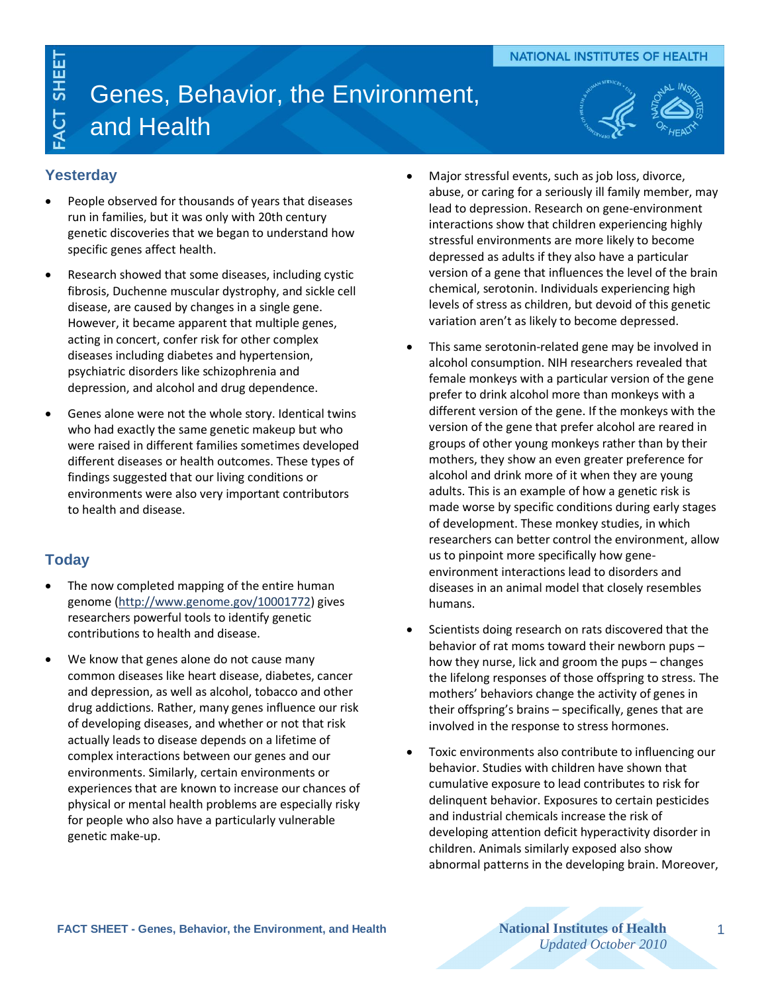## Genes, Behavior, the Environment, and Health



## **Yesterday**

ACT SHEET

- People observed for thousands of years that diseases run in families, but it was only with 20th century genetic discoveries that we began to understand how specific genes affect health.
- Research showed that some diseases, including cystic fibrosis, Duchenne muscular dystrophy, and sickle cell disease, are caused by changes in a single gene. However, it became apparent that multiple genes, acting in concert, confer risk for other complex diseases including diabetes and hypertension, psychiatric disorders like schizophrenia and depression, and alcohol and drug dependence.
- Genes alone were not the whole story. Identical twins who had exactly the same genetic makeup but who were raised in different families sometimes developed different diseases or health outcomes. These types of findings suggested that our living conditions or environments were also very important contributors to health and disease.

## **Today**

- The now completed mapping of the entire human genome [\(http://www.genome.gov/10001772\)](http://www.genome.gov/10001772) gives researchers powerful tools to identify genetic contributions to health and disease.
- We know that genes alone do not cause many common diseases like heart disease, diabetes, cancer and depression, as well as alcohol, tobacco and other drug addictions. Rather, many genes influence our risk of developing diseases, and whether or not that risk actually leads to disease depends on a lifetime of complex interactions between our genes and our environments. Similarly, certain environments or experiences that are known to increase our chances of physical or mental health problems are especially risky for people who also have a particularly vulnerable genetic make-up.
- Major stressful events, such as job loss, divorce, abuse, or caring for a seriously ill family member, may lead to depression. Research on gene-environment interactions show that children experiencing highly stressful environments are more likely to become depressed as adults if they also have a particular version of a gene that influences the level of the brain chemical, serotonin. Individuals experiencing high levels of stress as children, but devoid of this genetic variation aren't as likely to become depressed.
- This same serotonin-related gene may be involved in alcohol consumption. NIH researchers revealed that female monkeys with a particular version of the gene prefer to drink alcohol more than monkeys with a different version of the gene. If the monkeys with the version of the gene that prefer alcohol are reared in groups of other young monkeys rather than by their mothers, they show an even greater preference for alcohol and drink more of it when they are young adults. This is an example of how a genetic risk is made worse by specific conditions during early stages of development. These monkey studies, in which researchers can better control the environment, allow us to pinpoint more specifically how geneenvironment interactions lead to disorders and diseases in an animal model that closely resembles humans.
- Scientists doing research on rats discovered that the behavior of rat moms toward their newborn pups – how they nurse, lick and groom the pups – changes the lifelong responses of those offspring to stress. The mothers' behaviors change the activity of genes in their offspring's brains – specifically, genes that are involved in the response to stress hormones.
- Toxic environments also contribute to influencing our behavior. Studies with children have shown that cumulative exposure to lead contributes to risk for delinquent behavior. Exposures to certain pesticides and industrial chemicals increase the risk of developing attention deficit hyperactivity disorder in children. Animals similarly exposed also show abnormal patterns in the developing brain. Moreover,